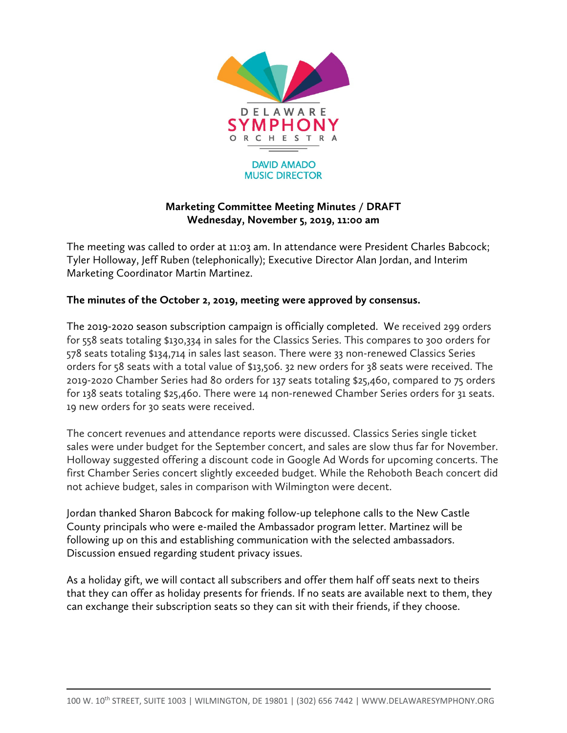

## **Marketing Committee Meeting Minutes / DRAFT Wednesday, November 5, 2019, 11:00 am**

The meeting was called to order at 11:03 am. In attendance were President Charles Babcock; Tyler Holloway, Jeff Ruben (telephonically); Executive Director Alan Jordan, and Interim Marketing Coordinator Martin Martinez.

## **The minutes of the October 2, 2019, meeting were approved by consensus.**

The 2019-2020 season subscription campaign is officially completed. We received 299 orders for 558 seats totaling \$130,334 in sales for the Classics Series. This compares to 300 orders for 578 seats totaling \$134,714 in sales last season. There were 33 non-renewed Classics Series orders for 58 seats with a total value of \$13,506. 32 new orders for 38 seats were received. The 2019-2020 Chamber Series had 80 orders for 137 seats totaling \$25,460, compared to 75 orders for 138 seats totaling \$25,460. There were 14 non-renewed Chamber Series orders for 31 seats. 19 new orders for 30 seats were received.

The concert revenues and attendance reports were discussed. Classics Series single ticket sales were under budget for the September concert, and sales are slow thus far for November. Holloway suggested offering a discount code in Google Ad Words for upcoming concerts. The first Chamber Series concert slightly exceeded budget. While the Rehoboth Beach concert did not achieve budget, sales in comparison with Wilmington were decent.

Jordan thanked Sharon Babcock for making follow-up telephone calls to the New Castle County principals who were e-mailed the Ambassador program letter. Martinez will be following up on this and establishing communication with the selected ambassadors. Discussion ensued regarding student privacy issues.

As a holiday gift, we will contact all subscribers and offer them half off seats next to theirs that they can offer as holiday presents for friends. If no seats are available next to them, they can exchange their subscription seats so they can sit with their friends, if they choose.